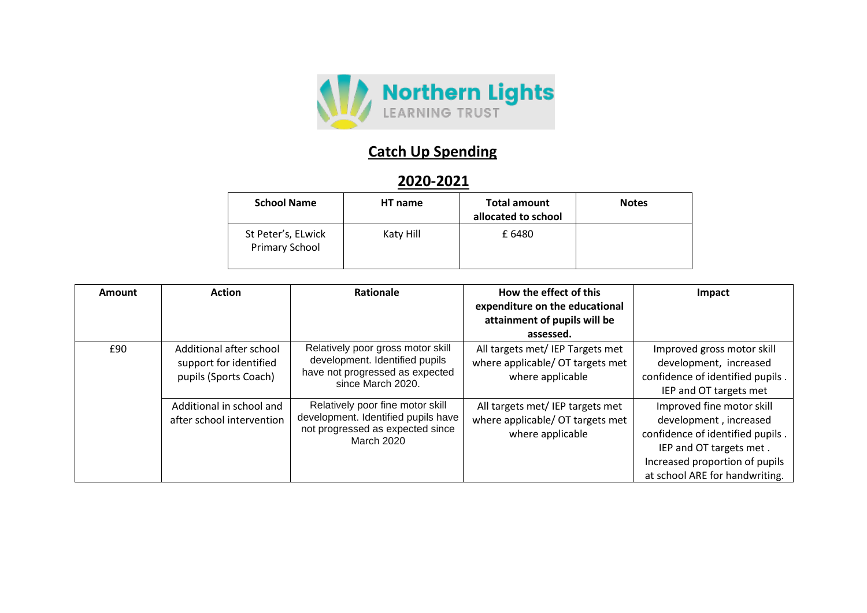

## **Catch Up Spending**

## **2020-2021**

| <b>School Name</b>                   | HT name   | <b>Total amount</b><br>allocated to school | <b>Notes</b> |
|--------------------------------------|-----------|--------------------------------------------|--------------|
| St Peter's, ELwick<br>Primary School | Katy Hill | £6480                                      |              |

| Amount | <b>Action</b>                                                              | <b>Rationale</b>                                                                                                                 | How the effect of this<br>expenditure on the educational<br>attainment of pupils will be<br>assessed. | Impact                                                                                                                                                                                 |
|--------|----------------------------------------------------------------------------|----------------------------------------------------------------------------------------------------------------------------------|-------------------------------------------------------------------------------------------------------|----------------------------------------------------------------------------------------------------------------------------------------------------------------------------------------|
| £90    | Additional after school<br>support for identified<br>pupils (Sports Coach) | Relatively poor gross motor skill<br>development. Identified pupils<br>have not progressed as expected<br>since March 2020.      | All targets met/ IEP Targets met<br>where applicable/ OT targets met<br>where applicable              | Improved gross motor skill<br>development, increased<br>confidence of identified pupils.<br>IEP and OT targets met                                                                     |
|        | Additional in school and<br>after school intervention                      | Relatively poor fine motor skill<br>development. Identified pupils have<br>not progressed as expected since<br><b>March 2020</b> | All targets met/ IEP targets met<br>where applicable/ OT targets met<br>where applicable              | Improved fine motor skill<br>development, increased<br>confidence of identified pupils.<br>IEP and OT targets met.<br>Increased proportion of pupils<br>at school ARE for handwriting. |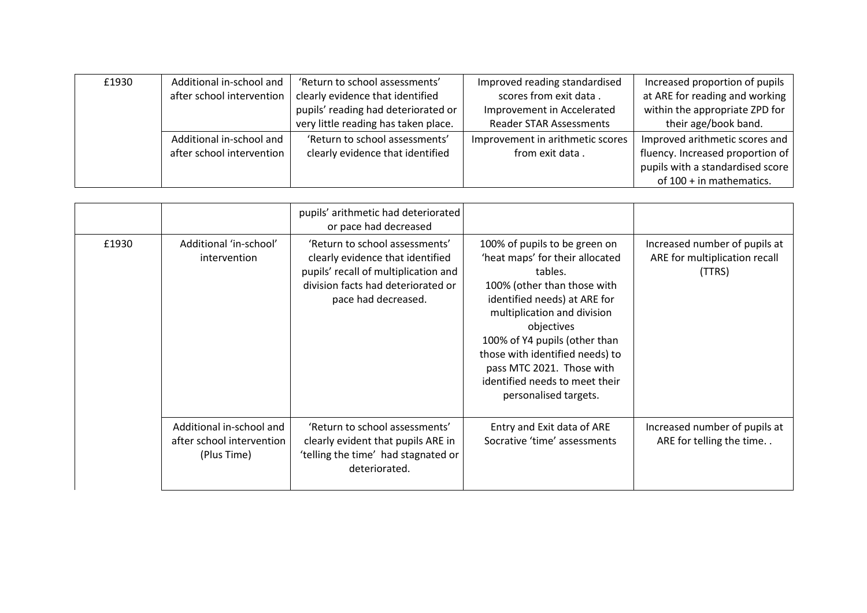| £1930 | Additional in-school and  | 'Return to school assessments'       | Improved reading standardised    | Increased proportion of pupils   |
|-------|---------------------------|--------------------------------------|----------------------------------|----------------------------------|
|       | after school intervention | clearly evidence that identified     | scores from exit data.           | at ARE for reading and working   |
|       |                           | pupils' reading had deteriorated or  | Improvement in Accelerated       | within the appropriate ZPD for   |
|       |                           | very little reading has taken place. | <b>Reader STAR Assessments</b>   | their age/book band.             |
|       | Additional in-school and  | 'Return to school assessments'       | Improvement in arithmetic scores | Improved arithmetic scores and   |
|       | after school intervention | clearly evidence that identified     | from exit data.                  | fluency. Increased proportion of |
|       |                           |                                      |                                  | pupils with a standardised score |
|       |                           |                                      |                                  | of 100 + in mathematics.         |

|       |                                                                      | pupils' arithmetic had deteriorated<br>or pace had decreased                                                                                                            |                                                                                                                                                                                                                                                                                                                                                     |                                                                          |
|-------|----------------------------------------------------------------------|-------------------------------------------------------------------------------------------------------------------------------------------------------------------------|-----------------------------------------------------------------------------------------------------------------------------------------------------------------------------------------------------------------------------------------------------------------------------------------------------------------------------------------------------|--------------------------------------------------------------------------|
| £1930 | Additional 'in-school'<br>intervention                               | 'Return to school assessments'<br>clearly evidence that identified<br>pupils' recall of multiplication and<br>division facts had deteriorated or<br>pace had decreased. | 100% of pupils to be green on<br>'heat maps' for their allocated<br>tables.<br>100% (other than those with<br>identified needs) at ARE for<br>multiplication and division<br>objectives<br>100% of Y4 pupils (other than<br>those with identified needs) to<br>pass MTC 2021. Those with<br>identified needs to meet their<br>personalised targets. | Increased number of pupils at<br>ARE for multiplication recall<br>(TTRS) |
|       | Additional in-school and<br>after school intervention<br>(Plus Time) | 'Return to school assessments'<br>clearly evident that pupils ARE in<br>'telling the time' had stagnated or<br>deteriorated.                                            | Entry and Exit data of ARE<br>Socrative 'time' assessments                                                                                                                                                                                                                                                                                          | Increased number of pupils at<br>ARE for telling the time                |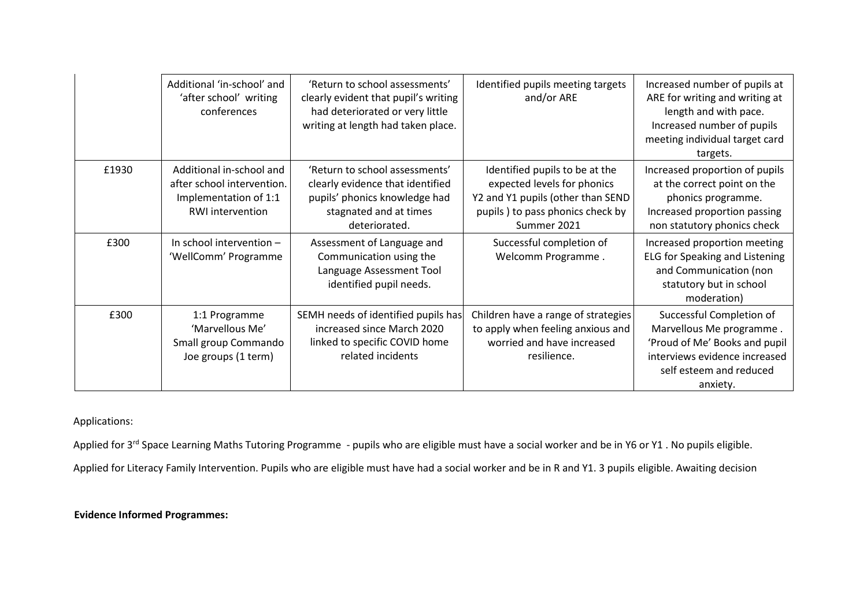|       | Additional 'in-school' and<br>'after school' writing<br>conferences                                        | 'Return to school assessments'<br>clearly evident that pupil's writing<br>had deteriorated or very little<br>writing at length had taken place. | Identified pupils meeting targets<br>and/or ARE                                                                                                       | Increased number of pupils at<br>ARE for writing and writing at<br>length and with pace.<br>Increased number of pupils<br>meeting individual target card<br>targets. |
|-------|------------------------------------------------------------------------------------------------------------|-------------------------------------------------------------------------------------------------------------------------------------------------|-------------------------------------------------------------------------------------------------------------------------------------------------------|----------------------------------------------------------------------------------------------------------------------------------------------------------------------|
| £1930 | Additional in-school and<br>after school intervention.<br>Implementation of 1:1<br><b>RWI</b> intervention | 'Return to school assessments'<br>clearly evidence that identified<br>pupils' phonics knowledge had<br>stagnated and at times<br>deteriorated.  | Identified pupils to be at the<br>expected levels for phonics<br>Y2 and Y1 pupils (other than SEND<br>pupils) to pass phonics check by<br>Summer 2021 | Increased proportion of pupils<br>at the correct point on the<br>phonics programme.<br>Increased proportion passing<br>non statutory phonics check                   |
| £300  | In school intervention $-$<br>'WellComm' Programme                                                         | Assessment of Language and<br>Communication using the<br>Language Assessment Tool<br>identified pupil needs.                                    | Successful completion of<br>Welcomm Programme.                                                                                                        | Increased proportion meeting<br>ELG for Speaking and Listening<br>and Communication (non<br>statutory but in school<br>moderation)                                   |
| £300  | 1:1 Programme<br>'Marvellous Me'<br>Small group Commando<br>Joe groups (1 term)                            | SEMH needs of identified pupils has<br>increased since March 2020<br>linked to specific COVID home<br>related incidents                         | Children have a range of strategies<br>to apply when feeling anxious and<br>worried and have increased<br>resilience.                                 | Successful Completion of<br>Marvellous Me programme.<br>'Proud of Me' Books and pupil<br>interviews evidence increased<br>self esteem and reduced<br>anxiety.        |

Applications:

Applied for 3<sup>rd</sup> Space Learning Maths Tutoring Programme - pupils who are eligible must have a social worker and be in Y6 or Y1. No pupils eligible.

Applied for Literacy Family Intervention. Pupils who are eligible must have had a social worker and be in R and Y1. 3 pupils eligible. Awaiting decision

**Evidence Informed Programmes:**